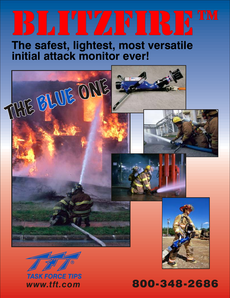# **BLITZFIRE**

**The safest, lightest, most versatile initial attack monitor ever!**





*TASK FORCE TIPS*

*www.tft.com* 800-348-2686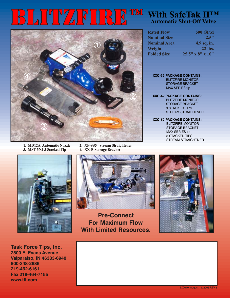## **BLITZFIRE™**



- **1. MD12A Automatic Nozzle 2. XF-SS5 Stream Straightener 3. MST-3NJ 3 Stacked Tip** 
	-
	-

#### **With SafeTak II™ Automatic Shut-Off Valve**

| <b>Rated Flow</b>   | <b>500 GPM</b>   |
|---------------------|------------------|
| <b>Nominal Size</b> | 2.5"             |
| <b>Nominal Area</b> | 4.9 sq. in.      |
| Weight              | 22 lbs.          |
| <b>Folded Size</b>  | 25.5" x 8" x 10" |

**XXC-32 PACKAGE CONTAINS:** BLITZFIRE MONITOR STORAGE BRACKET MAX-SERIES tip

**XXC-42 PACKAGE CONTAINS:** BLITZFIRE MONITOR STORAGE BRACKET 3 STACKED TIPS STREAM STRAIGHTNER

**XXC-52 PACKAGE CONTAINS:** BLITZFIRE MONITOR STORAGE BRACKET MAX-SERIES tip 3 STACKED TIPS STREAM STRAIGHTNER





**Pre-Connect For Maximum Flow With Limited Resources.**



**Task Force Tips, Inc. 2800 E. Evans Avenue Valparaiso, IN 46383-6940 800-348-2686 219-462-6161 Fax 219-464-7155 www.tft.com**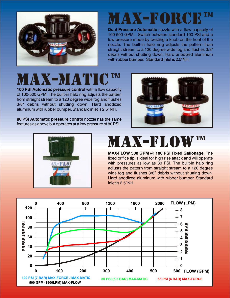

### MAX-FORC

**Dual Pressure Automatic** nozzle with a flow capacity of 100-500 GPM. Switch between standard 100 PSI and a low pressure mode by twisting a knob on the front of the nozzle. The built-in halo ring adjusts the pattern from straight stream to a 120 degree wide fog and flushes 3/8" debris without shutting down. Hard anodized aluminum with rubber bumper. Standard inlet is 2.5"NH.

### MAX-MATIC™

**100 PSI Automatic pressure control** with a flow capacity of 100-500 GPM. The built-in halo ring adjusts the pattern from straight stream to a 120 degree wide fog and flushes 3/8" debris without shutting down. Hard anodized aluminum with rubber bumper. Standard inlet is 2.5" NH.

**80 PSI Automatic pressure control** nozzle has the same features as above but operates at a low pressure of 80 PSI.





## MAX-FLOW™

**MAX-FLOW 500 GPM @ 100 PSI Fixed Gallonage.** The fixed orifice tip is ideal for high rise attack and will operate with pressures as low as 30 PSI. The built-in halo ring adjusts the pattern from straight stream to a 120 degree wide fog and flushes 3/8" debris without shutting down. Hard anodized aluminum with rubber bumper. Standard inlet is 2.5"NH.

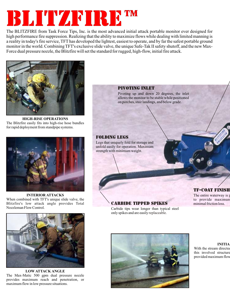## **BLITZ ANRES**

The BLITZFIRE from Task Force Tips, Inc. is the most advanced initial attack portable monitor ever designed for high performance fire suppression. Realizing that the ability to maximize flows while dealing with limited manning is a reality in today's fire service, TFT has developed the lightest, easiest to operate, and by far the safest portable ground monitor in the world. Combining TFT's exclusive slide valve, the unique Safe-Tak II safety shutoff, and the new Max-Force dual pressure nozzle, the Blitzfire will set the standard for rugged, high-flow, initial fire attack.



**HIGH-RISE OPERATIONS** The Blitzfire easily fits into high-rise hose bundles for rapid deployment from standpipe systems.



**INTERIOR ATTACKS** When combined with TFT's unique slide valve, the Blitzfire's low attack angle provides Total Nozzleman Flow Control.



**LOW ATTACK ANGLE** The Max-Matic 500 gpm dual pressure nozzle provides maximum reach and penetration, or maximum flow in low pressure situations.

#### pivoting inlet

Pivoting up and down 20 degrees, the inlet allows the monitor to be stable while positioned on porches, stair landings, and below grade.

#### folding legs

Legs that uniquely fold for storage and unfold easily for operation. Maximum strength with minimum weight.

#### TF-COAT Finish

The entire waterway is  $p$ to provide maximun minimal friction loss.

#### Carbide Tipped Spikes

Carbide tips wear longer than typical steel only spikes and are easily replaceable.



**INITIA** With the stream directed this involved structure provided maximum flow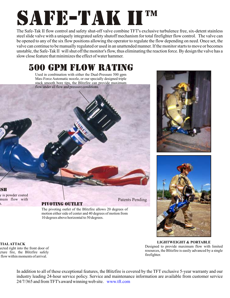## SAFE-TAK II™

The Safe-Tak II flow control and safety shut-off valve combine TFT's exclusive turbulence free, six-detent stainless steel slide valve with a uniquely integrated safety shutoff mechanism for total firefighter flow control. The valve can be opened to any of the six flow positions allowing the operator to regulate the flow depending on need. Once set, the valve can continue to be manually regulated or used in an unattended manner. If the monitor starts to move or becomes unstable, the Safe-Tak II will shut off the monitor's flow, thus eliminating the reaction force. By design the valve has a slow close feature that minimizes the effect of water hammer.

#### 500 gpm flow rating

Used in combination with either the Dual-Pressure 500 gpm Max-Force Automatic nozzle, or our specially designed triple stack smooth bore tips, the Blitzfire can provide maximum flow under all flow and pressure conditions.





**LIGHTWEIGHT & PORTABLE** Designed to provide maximum flow with limited resources, the Blitzfire is easily advanced by a single firefighter.

mum flow with S.

y is powder coated

<u>ISH</u>

#### pivoting outlet

Patents Pending

The pivoting outlet of the Blitzfire allows 20 degrees of motion either side of center and 40 degrees of motion from 10 degrees above horizontal to 50 degrees.

**TIAL ATTACK** ected right into the front door of cture fire, the Blitzfire safely flow within moments of arrival.

> In addition to all of these exceptional features, the Blitzfire is covered by the TFT exclusive 5-year warranty and our industry leading 24-hour service policy. Service and maintenance information are available from customer service 24/7/365 and from TFT's award winning web site. www.tft.com